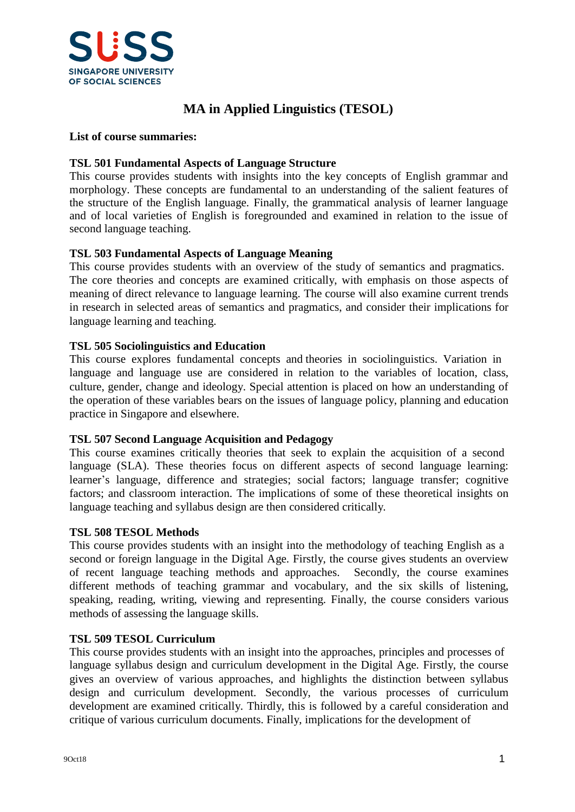

# **MA in Applied Linguistics (TESOL)**

#### **List of course summaries:**

### **TSL 501 Fundamental Aspects of Language Structure**

This course provides students with insights into the key concepts of English grammar and morphology. These concepts are fundamental to an understanding of the salient features of the structure of the English language. Finally, the grammatical analysis of learner language and of local varieties of English is foregrounded and examined in relation to the issue of second language teaching.

### **TSL 503 Fundamental Aspects of Language Meaning**

This course provides students with an overview of the study of semantics and pragmatics. The core theories and concepts are examined critically, with emphasis on those aspects of meaning of direct relevance to language learning. The course will also examine current trends in research in selected areas of semantics and pragmatics, and consider their implications for language learning and teaching.

### **TSL 505 Sociolinguistics and Education**

This course explores fundamental concepts and theories in sociolinguistics. Variation in language and language use are considered in relation to the variables of location, class, culture, gender, change and ideology. Special attention is placed on how an understanding of the operation of these variables bears on the issues of language policy, planning and education practice in Singapore and elsewhere.

#### **TSL 507 Second Language Acquisition and Pedagogy**

This course examines critically theories that seek to explain the acquisition of a second language (SLA). These theories focus on different aspects of second language learning: learner's language, difference and strategies; social factors; language transfer; cognitive factors; and classroom interaction. The implications of some of these theoretical insights on language teaching and syllabus design are then considered critically.

#### **TSL 508 TESOL Methods**

This course provides students with an insight into the methodology of teaching English as a second or foreign language in the Digital Age. Firstly, the course gives students an overview of recent language teaching methods and approaches. Secondly, the course examines different methods of teaching grammar and vocabulary, and the six skills of listening, speaking, reading, writing, viewing and representing. Finally, the course considers various methods of assessing the language skills.

#### **TSL 509 TESOL Curriculum**

This course provides students with an insight into the approaches, principles and processes of language syllabus design and curriculum development in the Digital Age. Firstly, the course gives an overview of various approaches, and highlights the distinction between syllabus design and curriculum development. Secondly, the various processes of curriculum development are examined critically. Thirdly, this is followed by a careful consideration and critique of various curriculum documents. Finally, implications for the development of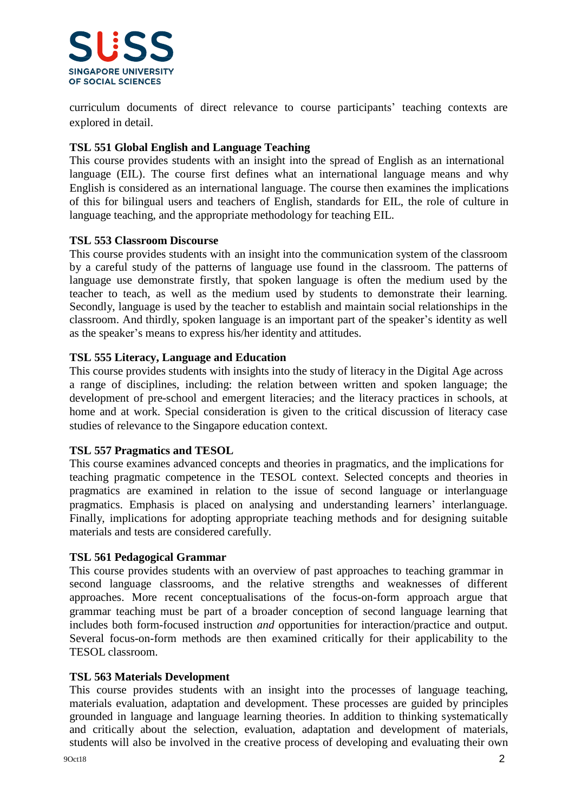

curriculum documents of direct relevance to course participants' teaching contexts are explored in detail.

## **TSL 551 Global English and Language Teaching**

This course provides students with an insight into the spread of English as an international language (EIL). The course first defines what an international language means and why English is considered as an international language. The course then examines the implications of this for bilingual users and teachers of English, standards for EIL, the role of culture in language teaching, and the appropriate methodology for teaching EIL.

### **TSL 553 Classroom Discourse**

This course provides students with an insight into the communication system of the classroom by a careful study of the patterns of language use found in the classroom. The patterns of language use demonstrate firstly, that spoken language is often the medium used by the teacher to teach, as well as the medium used by students to demonstrate their learning. Secondly, language is used by the teacher to establish and maintain social relationships in the classroom. And thirdly, spoken language is an important part of the speaker's identity as well as the speaker's means to express his/her identity and attitudes.

### **TSL 555 Literacy, Language and Education**

This course provides students with insights into the study of literacy in the Digital Age across a range of disciplines, including: the relation between written and spoken language; the development of pre-school and emergent literacies; and the literacy practices in schools, at home and at work. Special consideration is given to the critical discussion of literacy case studies of relevance to the Singapore education context.

### **TSL 557 Pragmatics and TESOL**

This course examines advanced concepts and theories in pragmatics, and the implications for teaching pragmatic competence in the TESOL context. Selected concepts and theories in pragmatics are examined in relation to the issue of second language or interlanguage pragmatics. Emphasis is placed on analysing and understanding learners' interlanguage. Finally, implications for adopting appropriate teaching methods and for designing suitable materials and tests are considered carefully.

### **TSL 561 Pedagogical Grammar**

This course provides students with an overview of past approaches to teaching grammar in second language classrooms, and the relative strengths and weaknesses of different approaches. More recent conceptualisations of the focus-on-form approach argue that grammar teaching must be part of a broader conception of second language learning that includes both form-focused instruction *and* opportunities for interaction/practice and output. Several focus-on-form methods are then examined critically for their applicability to the TESOL classroom.

### **TSL 563 Materials Development**

This course provides students with an insight into the processes of language teaching, materials evaluation, adaptation and development. These processes are guided by principles grounded in language and language learning theories. In addition to thinking systematically and critically about the selection, evaluation, adaptation and development of materials, students will also be involved in the creative process of developing and evaluating their own